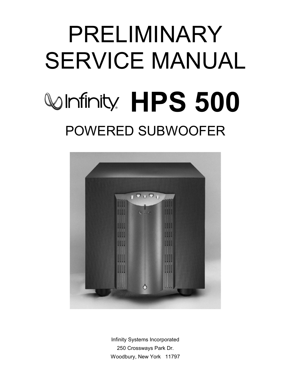# PRELIMINARY SERVICE MANUAL **Winfinity HPS 500** POWERED SUBWOOFER



Infinity Systems Incorporated 250 Crossways Park Dr. Woodbury, New York 11797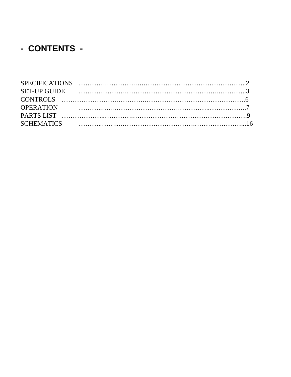### - CONTENTS -

| SET-UP GUIDE ALL ALL AND SET-UP GUIDE |  |
|---------------------------------------|--|
|                                       |  |
|                                       |  |
|                                       |  |
|                                       |  |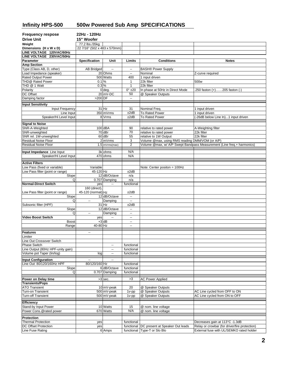#### <span id="page-2-0"></span>**Infinity HPS-500 500w Powered Sub Amp SPECIFICATIONS**

| <b>Frequency respose</b>                          | 22Hz - 120Hz                 |                           |                           |                                                 |                                                                                 |
|---------------------------------------------------|------------------------------|---------------------------|---------------------------|-------------------------------------------------|---------------------------------------------------------------------------------|
| <b>Drive Unit</b>                                 | 15" Woofer                   |                           |                           |                                                 |                                                                                 |
| Weight                                            | 77.2 lbs./35kg               |                           |                           |                                                 |                                                                                 |
| Dimensions (H x W x D)                            | 22 7/16" (502 x 483 x 570mm) |                           |                           |                                                 |                                                                                 |
| LINE VOLTAGE 120VAC/60Hz                          |                              |                           |                           |                                                 |                                                                                 |
| LINE VOLTAGE 230VAC/50Hz                          |                              |                           |                           |                                                 |                                                                                 |
| Parameter                                         | <b>Specification</b>         | Unit                      | Limits                    | <b>Conditions</b>                               | <b>Notes</b>                                                                    |
| <b>Amp Section</b>                                |                              |                           |                           |                                                 |                                                                                 |
| Type (Class AB, D, other)                         | <b>AB Bridged</b>            | $\overline{\phantom{a}}$  | $\mathbb{Z}^2$            | <b>BASH® Power Supply</b>                       |                                                                                 |
| Load Impedance (speaker)                          |                              | 20 Ohms                   | $\ddotsc$                 | Nominal                                         | Z-curve required                                                                |
| <b>Rated Output Power</b>                         |                              | 500 Watts                 | 400                       | 1 input driven                                  |                                                                                 |
| THD@ Rated Power                                  | 0.1%                         |                           | $\mathbf{1}$              | 22k filter                                      | 500w                                                                            |
| THD @ 1 Watt                                      | 0.3%                         |                           | $\mathbf{1}$              | 22k filter                                      |                                                                                 |
| Polarity                                          |                              | $0$ deg.                  | $0^\circ$ ±20             | In phase at 50Hz in Direct Mode                 | 250 faston (+)205 faston (-)                                                    |
| DC Offset                                         |                              | 20 mV-DC                  | 50                        | @ Speaker Outputs                               |                                                                                 |
| Damping factor                                    | >200 DF                      |                           | $\overline{\phantom{a}}$  |                                                 |                                                                                 |
| <b>Input Sensitivity</b>                          |                              |                           |                           |                                                 |                                                                                 |
| Input Frequency                                   |                              | 31 Hz                     | 31                        | Nominal Freq.                                   | 1 input driven                                                                  |
| Line Input                                        |                              | 350 mVrms                 | ±2dB                      | To Rated Power                                  | 1 input driven                                                                  |
| Speaker/Hi Level Input                            |                              | 8 Vrms                    | ±2dB                      | <b>To Rated Power</b>                           | (-26dB below Line In)1 input driven                                             |
|                                                   |                              |                           |                           |                                                 |                                                                                 |
| <b>Signal to Noise</b>                            |                              |                           |                           |                                                 |                                                                                 |
| SNR-A-Weighted                                    |                              | $100$ dBA                 | 90                        | relative to rated power                         | A-Weighting filter                                                              |
| SNR-unweighted                                    |                              | 70 dBr                    | 70                        | relative to rated power                         | 22k filter                                                                      |
| SNR rel. 1W-unweighted                            |                              | 60 dBr                    | 55                        | relative to 1W Output                           | 22k filter                                                                      |
| <b>Residual Noise Floor</b>                       |                              | 2 mVrms                   | 3                         | Volume @max, using RMS reading DMM/VOM (or A/P) |                                                                                 |
| Residual Noise Floor                              |                              | 1.5 mVrms(max)            | $\overline{2}$            |                                                 | Volume @max, w/ A/P Swept Bandpass Measurement (Line freq.+ harmonics)          |
| Input Impedance Line Input                        |                              | 3k ohms                   | N/A                       |                                                 |                                                                                 |
| Speaker/Hi Level Input                            |                              | 470 ohms                  | N/A                       |                                                 |                                                                                 |
|                                                   |                              |                           |                           |                                                 |                                                                                 |
| <b>Active Filters</b>                             |                              |                           |                           |                                                 |                                                                                 |
| Low Pass (fixed or variable)                      | Variable                     |                           |                           | Note: Center positon = 100Hz                    |                                                                                 |
| Low Pass filter (point or range)                  | 45-120 Hz                    |                           | ±2dB                      |                                                 |                                                                                 |
| Slope                                             |                              | 12 dB/Octave              | n/a                       |                                                 |                                                                                 |
| Q                                                 |                              | 0.707 Damping             | n/a                       |                                                 |                                                                                 |
| Normal-Direct Switch                              | yes                          | $\sim$                    | functional                |                                                 |                                                                                 |
|                                                   | 160 (direct),                |                           |                           |                                                 |                                                                                 |
| Low Pass filter (point or range)                  | 45-120 (normal) Hz           |                           | ±2dB                      |                                                 |                                                                                 |
| Slope                                             |                              | 12 dB/Octave              | $\mathbb{L}^{\mathbb{L}}$ |                                                 |                                                                                 |
| Q                                                 | $\overline{\phantom{a}}$     | Damping                   | $\sim$                    |                                                 |                                                                                 |
| Subsonic filter (HPF)                             |                              | 31 Hz                     | ±2dB                      |                                                 |                                                                                 |
| Slope<br>Q                                        | ٠.                           | 12 dB/Octave              | $\sim$<br>Ξ.              |                                                 |                                                                                 |
| <b>Video Boost Switch</b>                         | yes                          | Damping                   | $\mathbb{Z}^2$            |                                                 |                                                                                 |
| <b>Boost</b>                                      |                              | $+3$ dB                   | $\sim$                    |                                                 |                                                                                 |
| Range                                             | 40-80 Hz                     |                           | $\sim$                    |                                                 |                                                                                 |
|                                                   |                              |                           |                           |                                                 |                                                                                 |
| <b>Features</b>                                   | $\overline{\phantom{a}}$     |                           |                           |                                                 |                                                                                 |
| Limiter                                           |                              |                           |                           |                                                 |                                                                                 |
| Line Out Crossover Switch                         |                              |                           |                           |                                                 |                                                                                 |
| <b>Phase Switch</b>                               |                              |                           | functional                |                                                 |                                                                                 |
| Line Output (80Hz HPF-unity gain)                 |                              | $\overline{\phantom{a}}$  | functional                |                                                 |                                                                                 |
| Volume pot Taper (lin/log)                        | log                          | Ξ.                        | functional                |                                                 |                                                                                 |
| Input Configuration                               | $\sim$                       | $\overline{\phantom{a}}$  |                           |                                                 |                                                                                 |
| Line Out: 80/120/160Hz HPF                        | 80/120/160 Hz                |                           | functional                |                                                 |                                                                                 |
| Slope                                             |                              | 6 dB/Octave               | functional                |                                                 |                                                                                 |
| Q                                                 |                              | 0.707 Damping             | functional                |                                                 |                                                                                 |
|                                                   |                              |                           |                           |                                                 |                                                                                 |
| Power on Delay time                               |                              | $>3$ sec.                 | >3                        | <b>AC Power Applied</b>                         |                                                                                 |
| <b>Transients/Pops</b>                            |                              |                           |                           | @ Speaker Outputs                               |                                                                                 |
| <b>ATO Transient</b><br>Turn-on Transient         |                              | 10 mV-peak<br>500 mV-peak | 20<br>1v-pp               | @ Speaker Outputs                               | AC Line cycled from OFF to ON                                                   |
| <b>Turn-off Transient</b>                         |                              | 500 mV-peak               | $1v$ -pp                  | @ Speaker Outputs                               | AC Line cycled from ON to OFF                                                   |
|                                                   |                              |                           |                           |                                                 |                                                                                 |
| <b>Efficiency</b>                                 |                              |                           |                           |                                                 |                                                                                 |
| Stand-by Input Power                              |                              | 10 Watts                  | 15                        | @ nom. line voltage                             |                                                                                 |
| Power Cons.@rated power                           |                              | 670 Watts                 | N/A                       | @ nom. line voltage                             |                                                                                 |
|                                                   |                              |                           |                           |                                                 |                                                                                 |
| Protection                                        |                              |                           |                           |                                                 |                                                                                 |
| <b>Thermal Protection</b><br>DC Offset Protection | yes                          |                           | functional                | DC present at Speaker Out leads                 | Decreases gain at 113°C -1.3dB<br>Relay or crowbar (for driver/fire protection) |
| Line Fuse Rating                                  | yes                          |                           | functional                | Type-T or Slo Blo                               | External fuse with UL/SEMKO rated holder                                        |
|                                                   |                              | 6 Amps                    | functional                |                                                 |                                                                                 |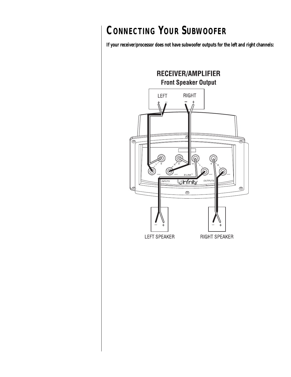# <span id="page-3-0"></span>**CONNECTING YOUR SUBWOOFER**

**If your receiver/processor does not have subwoofer outputs for the left and right channels:**

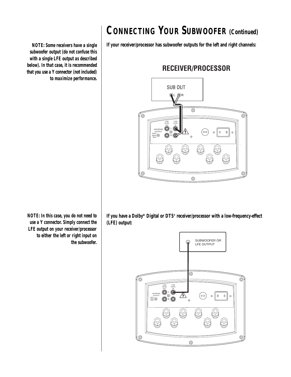# **CONNECTING YOUR SUBWOOFER (Continued)**

**If your receiver/processor has subwoofer outputs for the left and right channels:**

#### RECEIVER/PROCESSOR



*NOTE: Some receivers have a single subwoofer output (do not confuse this with a single LFE output as described below). In that case, it is recommended that you use a Y connector (not included) to maximize performance.*

> **If you have a Dolby\* Digital or DTS® receiver/processor with a low-frequency-effect (LFE) output:**



*NOTE: In this case, you do not need to use a Y connector. Simply connect the LFE output on your receiver/processor to either the left or right input on the subwoofer.*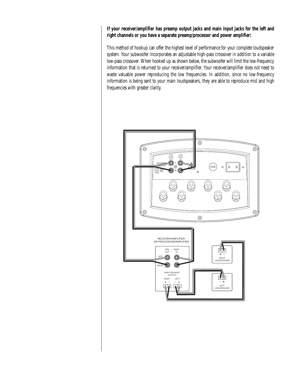**If your receiver/amplifier has preamp output jacks and main input jacks for the left and right channels or you have a separate preamp/processor and power amplifier:**

This method of hookup can offer the highest level of performance for your complete loudspeaker system. Your subwoofer incorporates an adjustable high-pass crossover *in addition* to a variable low-pass crossover. When hooked up as shown below, the subwoofer will limit the low-frequency information that is returned to your receiver/amplifier. Your receiver/amplifier does not need to waste valuable power reproducing the low frequencies. In addition, since no low-frequency information is being sent to your main loudspeakers, they are able to reproduce mid and high frequencies with greater clarity.

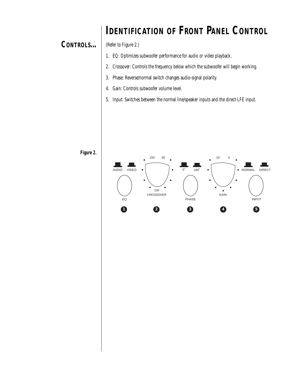## **IDENTIFICATION OF FRONT PANEL CONTROL**

#### <span id="page-6-0"></span>**CONTROLS...**

(Refer to Figure 2.)

- 1. EQ: Optimizes subwoofer performance for audio or video playback.
- 2. Crossover: Controls the frequency below which the subwoofer will begin working.
- 3. Phase: Reverse/normal switch changes audio-signal polarity.
- 4. Gain: Controls subwoofer volume level.
- 5. Input: Switches between the normal line/speaker inputs and the direct-LFE input.



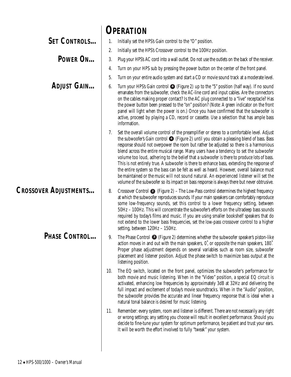<span id="page-7-0"></span>

|                              | <b>OPERATION</b>                                                                                                                                                                                                                                                                                                                                                                                                                                                                                                                                                                                                                                                                                                                                                                                                                                                              |
|------------------------------|-------------------------------------------------------------------------------------------------------------------------------------------------------------------------------------------------------------------------------------------------------------------------------------------------------------------------------------------------------------------------------------------------------------------------------------------------------------------------------------------------------------------------------------------------------------------------------------------------------------------------------------------------------------------------------------------------------------------------------------------------------------------------------------------------------------------------------------------------------------------------------|
| <b>SET CONTROLS</b>          | Initially set the HPS's Gain control to the "O" position.                                                                                                                                                                                                                                                                                                                                                                                                                                                                                                                                                                                                                                                                                                                                                                                                                     |
|                              | Initially set the HPS's Crossover control to the 100Hz position.<br>2.                                                                                                                                                                                                                                                                                                                                                                                                                                                                                                                                                                                                                                                                                                                                                                                                        |
| POWER ON                     | Plug your HPS's AC cord into a wall outlet. Do not use the outlets on the back of the receiver.<br>3.                                                                                                                                                                                                                                                                                                                                                                                                                                                                                                                                                                                                                                                                                                                                                                         |
|                              | Turn on your HPS sub by pressing the power button on the center of the front panel.<br>4.                                                                                                                                                                                                                                                                                                                                                                                                                                                                                                                                                                                                                                                                                                                                                                                     |
|                              | Turn on your entire audio system and start a CD or movie sound track at a moderate level.<br>5.                                                                                                                                                                                                                                                                                                                                                                                                                                                                                                                                                                                                                                                                                                                                                                               |
| <b>ADJUST GAIN</b>           | Turn your HPS's Gain control $\bigodot$ (Figure 2) up to the "5" position (half way). If no sound<br>6.<br>emanates from the subwoofer, check the AC-line cord and input cables. Are the connectors<br>on the cables making proper contact? Is the AC plug connected to a "live" receptacle? Has<br>the power button been pressed to the "on" position? (Note: A green indicator on the front<br>panel will light when the power is on.) Once you have confirmed that the subwoofer is<br>active, proceed by playing a CD, record or cassette. Use a selection that has ample bass<br>information.                                                                                                                                                                                                                                                                            |
|                              | Set the overall volume control of the preamplifier or stereo to a comfortable level. Adjust<br>7.<br>the subwoofer's Gain control $\bullet$ (Figure 2) until you obtain a pleasing blend of bass. Bass<br>response should not overpower the room but rather be adjusted so there is a harmonious<br>blend across the entire musical range. Many users have a tendency to set the subwoofer<br>volume too loud, adhering to the belief that a subwoofer is there to produce lots of bass.<br>This is not entirely true. A subwoofer is there to enhance bass, extending the response of<br>the entire system so the bass can be felt as well as heard. However, overall balance must<br>be maintained or the music will not sound natural. An experienced listener will set the<br>volume of the subwoofer so its impact on bass response is always there but never obtrusive. |
| <b>CROSSOVER ADJUSTMENTS</b> | Crossover Control $\bullet$ (Figure 2) – The Low-Pass control determines the highest frequency<br>8.<br>at which the subwoofer reproduces sounds. If your main speakers can comfortably reproduce<br>some low-frequency sounds, set this control to a lower frequency setting, between<br>50Hz - 100Hz. This will concentrate the subwoofer's efforts on the ultradeep bass sounds<br>required by today's films and music. If you are using smaller bookshelf speakers that do<br>not extend to the lower bass frequencies, set the low-pass crossover control to a higher<br>setting, between 120Hz - 150Hz.                                                                                                                                                                                                                                                                 |
| PHASE CONTROL                | The Phase Control $\bullet$ (Figure 2) determines whether the subwoofer speaker's piston-like<br>9.<br>action moves in and out with the main speakers, 0°, or opposite the main speakers, 180°.<br>Proper phase adjustment depends on several variables such as room size, subwoofer<br>placement and listener position. Adjust the phase switch to maximize bass output at the<br>listening position.                                                                                                                                                                                                                                                                                                                                                                                                                                                                        |
|                              | The EQ switch, located on the front panel, optimizes the subwoofer's performance for<br>10.<br>both movie and music listening. When in the "Video" position, a special EQ circuit is<br>activated, enhancing low frequencies by approximately 3dB at 32Hz and delivering the<br>full impact and excitement of today's movie soundtracks. When in the "Audio" position,<br>the subwoofer provides the accurate and linear frequency response that is ideal when a<br>natural tonal balance is desired for music listening.                                                                                                                                                                                                                                                                                                                                                     |
|                              | Remember: every system, room and listener is different. There are not necessarily any right<br>11.<br>or wrong settings; any setting you choose will result in excellent performance. Should you<br>decide to fine-tune your system for optimum performance, be patient and trust your ears.<br>It will be worth the effort involved to fully "tweak" your system.                                                                                                                                                                                                                                                                                                                                                                                                                                                                                                            |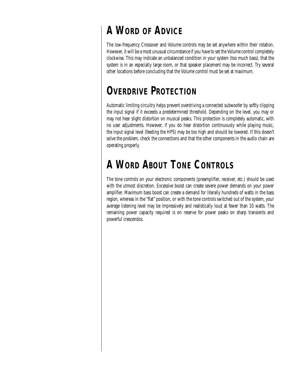# **A WORD OF ADVICE**

The low-frequency Crossover and Volume controls may be set anywhere within their rotation. However, it will be a most unusual circumstance if you have to set the Volume control completely clockwise. This may indicate an unbalanced condition in your system (too much bass), that the system is in an especially large room, or that speaker placement may be incorrect. Try several other locations before concluding that the Volume control must be set at maximum.

# **OVERDRIVE PROTECTION**

Automatic limiting circuitry helps prevent overdriving a connected subwoofer by softly clipping the input signal if it exceeds a predetermined threshold. Depending on the level, you may or may not hear slight distortion on musical peaks. This protection is completely automatic, with no user adjustments. However, if you do hear distortion continuously while playing music, the input signal level (feeding the HPS) may be too high and should be lowered. If this doesn't solve the problem, check the connections and that the other components in the audio chain are operating properly.

# **A WORD ABOUT TONE CONTROLS**

The tone controls on your electronic components (preamplifier, receiver, etc.) should be used with the utmost discretion. Excessive boost can create severe power demands on your power amplifier. Maximum bass boost can create a demand for literally hundreds of watts in the bass region, whereas in the "flat" position, or with the tone controls switched out of the system, your average listening level may be impressively and realistically loud at fewer than 10 watts. The remaining power capacity required is on reserve for power peaks on sharp transients and powerful crescendos.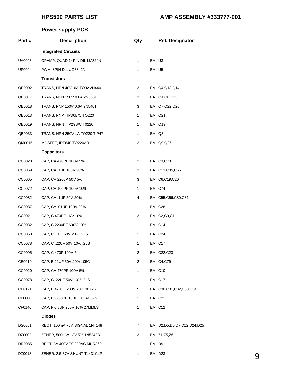#### **HPS500 PARTS LIST AMP ASSEMBLY #333777-001**

#### **Power supply PCB**

<span id="page-9-0"></span>

| Part#         | <b>Description</b>             | Qty            |       | <b>Ref. Designator</b>           |   |
|---------------|--------------------------------|----------------|-------|----------------------------------|---|
|               | <b>Integrated Circuits</b>     |                |       |                                  |   |
| UA0003        | OPAMP, QUAD 14PIN DIL LM324N   | $\mathbf{1}$   |       | EA U3                            |   |
| <b>UP0004</b> | PWM, 8PIN DIL UC3842N          | 1              |       | EA U5                            |   |
|               | <b>Transistors</b>             |                |       |                                  |   |
| QB0002        | TRANS, NPN 40V .6A TO92 2N4401 | 3              |       | EA Q4, Q13, Q14                  |   |
| QB0017        | TRANS, NPN 150V 0.6A 2N5551    | 3              |       | EA Q1, Q8, Q23                   |   |
| QB0018        | TRANS, PNP 150V 0.6A 2N5401    | 3              |       | EA Q7, Q22, Q26                  |   |
| QB0013        | TRANS, PNP TIP30B/C TO220      | 1              |       | EA Q21                           |   |
| QB0019        | TRANS, NPN TIP29B/C T0220      | 1              |       | EA Q19                           |   |
| QB0033        | TRANS, NPN 250V 1A TO220 TIP47 | 1              |       | EA Q3                            |   |
| QM0015        | MOSFET, IRF640 TO220AB         | $\overline{c}$ |       | EA Q9,Q27                        |   |
|               | <b>Capacitors</b>              |                |       |                                  |   |
| CC0020        | CAP, CA 470PF 100V 5%          | $\overline{2}$ |       | EA C3, C73                       |   |
| CC0059        | CAP, CA .1UF 100V 20%          | 3              |       | EA C13,C35,C65                   |   |
| CC0065        | CAP, CA 2200P 50V 5%           | 3              |       | EA C6,C19,C20                    |   |
| CC0072        | CAP, CA 100PF 100V 10%         | 1              |       | EA C74                           |   |
| CC0082        | CAP, CA .1UF 50V 20%           | 4              |       | EA C55,C56,C80,C81               |   |
| CC0087        | CAP, CA .01UF 100V 20%         | 1              |       | EA C28                           |   |
| CC0021        | CAP, C 470PF 1KV 10%           | 3              |       | EA C2, C9, C11                   |   |
| CC0032        | CAP, C 2200PF 600V 10%         | 1              |       | EA C14                           |   |
| CC0050        | CAP, C .1UF 50V 20% .2LS       | 1              |       | EA C24                           |   |
| CC0078        | CAP, C .22UF 50V 10% .2LS      | 1              |       | EA C17                           |   |
| CC0095        | CAP, C 470P 100V 5             | $\mathbf{2}$   |       | EA C22,C23                       |   |
| CE0010        | CAP, E 22UF 50V 20% 105C       | $\overline{2}$ |       | EA C4,C79                        |   |
| CC0020        | CAP, CA 470PF 100V 5%          | 1              |       | EA C10                           |   |
| CC0078        | CAP, C .22UF 50V 10% .2LS      | 1              |       | EA C17                           |   |
| CE0121        | CAP, E 470UF 200V 20% 30X25    | 5              |       | EA C30,C31,C32,C33,C34           |   |
| CF0008        | CAP, F 2200PF 100DC 63AC 5%    | $\mathbf{1}$   |       | EA C21                           |   |
| CF0146        | CAP, F 6.8UF 250V 10% 27MMLS   | 1              |       | EA C12                           |   |
|               | <b>Diodes</b>                  |                |       |                                  |   |
| <b>DS0001</b> | RECT, 100mA 75V SIGNAL 1N4148T | $\mathbf{7}$   |       | EA D2, D5, D6, D7, D12, D24, D25 |   |
| DZ0002        | ZENER, 500mW 12V 5% 1N5242B    | 3              |       | EA Z1, Z5, Z6                    |   |
| DR0085        | RECT, 8A 400V TO220AC MUR860   | $\mathbf{1}$   | EA D9 |                                  |   |
| DZ0018        | ZENER, 2.5-37V SHUNT TL431CLP  | 1              |       | EA D23                           | 9 |
|               |                                |                |       |                                  |   |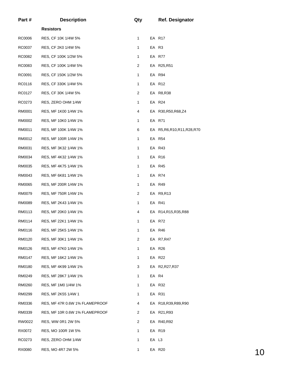| Part#  | <b>Description</b>             | Qty |       | <b>Ref. Designator</b>        |    |
|--------|--------------------------------|-----|-------|-------------------------------|----|
|        | <b>Resistors</b>               |     |       |                               |    |
| RC0006 | RES, CF 10K 1/4W 5%            | 1   |       | EA R17                        |    |
| RC0037 | RES, CF 2K0 1/4W 5%            | 1   |       | EA R3                         |    |
| RC0082 | RES, CF 100K 1/2W 5%           | 1   |       | EA R77                        |    |
| RC0083 | RES, CF 100K 1/4W 5%           | 2   |       | EA R25,R51                    |    |
| RC0091 | RES, CF 150K 1/2W 5%           | 1   |       | EA R94                        |    |
| RC0116 | RES, CF 330K 1/4W 5%           | 1   |       | EA R12                        |    |
| RC0127 | RES, CF 30K 1/4W 5%            | 2   |       | EA R8, R38                    |    |
| RC0273 | RES, ZERO OHM 1/4W             | 1   |       | EA R24                        |    |
| RM0001 | RES, MF 1K00 1/4W 1%           | 4   |       | EA R30, R50, R68, Z4          |    |
| RM0002 | RES, MF 10K0 1/4W 1%           | 1   |       | EA R71                        |    |
| RM0011 | RES, MF 100K 1/4W 1%           | 6   |       | EA R5, R6, R10, R11, R28, R70 |    |
| RM0012 | RES, MF 100R 1/4W 1%           | 1   |       | EA R54                        |    |
| RM0031 | RES, MF 3K32 1/4W 1%           | 1   |       | EA R43                        |    |
| RM0034 | RES, MF 4K32 1/4W 1%           | 1   |       | EA R16                        |    |
| RM0035 | RES, MF 4K75 1/4W 1%           | 1   |       | EA R45                        |    |
| RM0043 | RES, MF 6K81 1/4W 1%           | 1   |       | EA R74                        |    |
| RM0065 | RES, MF 200R 1/4W 1%           | 1   |       | EA R49                        |    |
| RM0079 | RES, MF 750R 1/4W 1%           | 2   |       | EA R9, R13                    |    |
| RM0089 | RES, MF 2K43 1/4W 1%           | 1   |       | EA R41                        |    |
| RM0113 | RES, MF 20K0 1/4W 1%           | 4   |       | EA R14, R15, R35, R88         |    |
| RM0114 | RES, MF 22K1 1/4W 1%           | 1   |       | EA R72                        |    |
| RM0116 | RES, MF 25K5 1/4W 1%           | 1   |       | EA R46                        |    |
| RM0120 | RES, MF 30K1 1/4W 1%           | 2   |       | EA R7, R47                    |    |
| RM0126 | RES, MF 47K0 1/4W 1%           | 1   |       | EA R26                        |    |
| RM0147 | RES, MF 16K2 1/4W 1%           | 1   |       | EA R22                        |    |
| RM0180 | RES, MF 4K99 1/4W 1%           | 3   |       | EA R2, R27, R37               |    |
| RM0249 | RES, MF 28K7 1/4W 1%           | 1   | EA R4 |                               |    |
| RM0260 | RES, MF 1M0 1/4W 1%            | 1   |       | EA R32                        |    |
| RM0299 | RES, MF 2K55 1/4W 1            | 1   |       | EA R31                        |    |
| RM0336 | RES, MF 47R 0.6W 1% FLAMEPROOF | 4   |       | EA R18, R39, R89, R90         |    |
| RM0339 | RES, MF 10R 0.6W 1% FLAMEPROOF | 2   |       | EA R21, R93                   |    |
| RW0022 | RES, WW 0R1 2W 5%              | 2   |       | EA R40, R92                   |    |
| RX0072 | RES, MO 100R 1W 5%             | 1   |       | EA R19                        |    |
| RC0273 | RES, ZERO OHM 1/4W             | 1   | EA L3 |                               |    |
| RX0080 | RES, MO 4R7 2W 5%              | 1   |       | EA R20                        | 10 |
|        |                                |     |       |                               |    |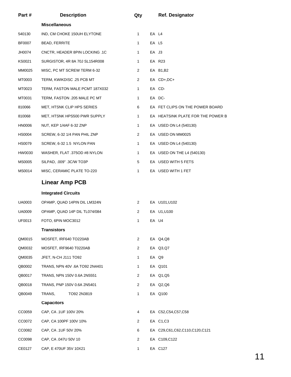| Part#         | <b>Description</b>             | Qty            |       | <b>Ref. Designator</b>            |
|---------------|--------------------------------|----------------|-------|-----------------------------------|
|               | <b>Miscellaneous</b>           |                |       |                                   |
| 540130        | IND, CM CHOKE 150UH ELYTONE    | $\mathbf{1}$   | EA L4 |                                   |
| BF0007        | <b>BEAD, FERRITE</b>           | $\mathbf{1}$   | EA L5 |                                   |
| JH0074        | CNCTR, HEADER 8PIN LOCKING .1C | 1              | EA J3 |                                   |
| KS0021        | SURGISTOR, 4R 8A 70J SL154R008 | 1              |       | EA R23                            |
| MM0025        | MISC, PC MT SCREW TERM 6-32    | $\overline{2}$ |       | EA B1,B2                          |
| MT0003        | TERM, KWIKDISC .25 PCB MT      | 2              |       | EA CD+,DC+                        |
| MT0023        | TERM, FASTON MALE PCMT 187X032 | $\mathbf{1}$   |       | EA CD-                            |
| MT0031        | TERM, FASTON .205 MALE PC MT   | $\mathbf{1}$   |       | EA DC-                            |
| 810066        | MET, HTSNK CLIP HPS SERIES     | 6              |       | EA FET CLIPS ON THE POWER BOARD   |
| 810068        | MET, HTSNK HPS500 PWR SUPPLY   | $\mathbf{1}$   |       | EA HEATSINK PLATE FOR THE POWER B |
| HN0006        | NUT, KEP 1/4AF 6-32 ZNP        | 1              |       | EA USED ON L4 (540130)            |
| HS0004        | SCREW, 6-32 1/4 PAN PHIL ZNP   | 2              |       | EA USED ON MM0025                 |
| <b>HS0079</b> | SCREW, 6-32 1.5 NYLON PAN      | 1              |       | EA USED ON L4 (540130)            |
| HW0030        | WASHER, FLAT .375OD #8 NYLON   | $\mathbf{1}$   |       | EA USED ON THE L4 (540130)        |
| MS0005        | SILPAD, .009" .3C/W TO3P       | 5              |       | EA USED WITH 5 FETS               |
| MS0014        | MISC, CERAMIC PLATE TO-220     | 1              |       | EA USED WITH 1 FET                |
|               | <b>Linear Amp PCB</b>          |                |       |                                   |
|               | <b>Integrated Circuits</b>     |                |       |                                   |
| UA0003        | OPAMP, QUAD 14PIN DIL LM324N   | $\mathbf{2}$   |       | EA U101, U102                     |
| <b>UA0009</b> | OPAMP, QUAD 14P DIL TL074/084  | 2              |       | EA U1, U100                       |
| UF0013        | FOTO, 6PIN MOC3012             | 1              |       | EA U4                             |
|               | <b>Transistors</b>             |                |       |                                   |
| QM0015        | MOSFET, IRF640 TO220AB         | $\overline{2}$ |       | EA Q4,Q8                          |
| QM0032        | MOSFET, IRF9640 T0220AB        | $\overline{2}$ |       | EA Q3,Q7                          |
| QM0035        | JFET, N-CH J111 TO92           | 1              |       | EA Q9                             |
| QB0002        | TRANS, NPN 40V .6A TO92 2N4401 | 1              |       | EA Q101                           |
| QB0017        | TRANS, NPN 150V 0.6A 2N5551    | $\overline{2}$ |       | EA Q1,Q5                          |
| QB0018        | TRANS, PNP 150V 0.6A 2N5401    | $\overline{2}$ |       | EA Q2,Q6                          |
| QB0049        | TRANS,<br>TO92 2N3819          | 1              |       | EA Q100                           |
|               | <b>Capacitors</b>              |                |       |                                   |
| CC0059        | CAP, CA .1UF 100V 20%          | 4              |       | EA C52,C54,C57,C58                |
| CC0072        | CAP, CA 100PF 100V 10%         | $\overline{2}$ |       | EA C1,C3                          |
| CC0082        | CAP, CA .1UF 50V 20%           | 6              |       | EA C29,C61,C62,C110,C120,C121     |
| CC0098        | CAP, CA .047U 50V 10           | 2              |       | EA C109, C122                     |
| CE0127        | CAP, E 470UF 35V 10X21         | 1              |       | EA C127                           |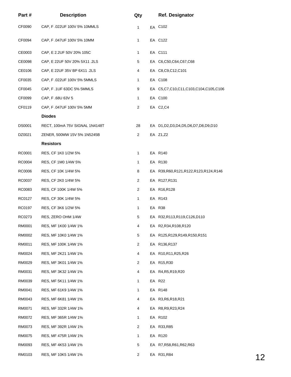| Part#         | <b>Description</b>             | Qty            | <b>Ref. Designator</b>                      |    |
|---------------|--------------------------------|----------------|---------------------------------------------|----|
| CF0090        | CAP, F.022UF 100V 5% 10MMLS    | $\mathbf{1}$   | EA C102                                     |    |
| CF0094        | CAP, F.047UF 100V 5% 10MM      | 1              | EA C122                                     |    |
| CE0003        | CAP, E 2.2UF 50V 20% 105C      | $\mathbf{1}$   | EA C111                                     |    |
| CE0098        | CAP, E 22UF 50V 20% 5X11 .2LS  | 5              | EA C6,C50,C64,C67,C68                       |    |
| CE0106        | CAP, E 22UF 35V BP 6X11 .2LS   | 4              | EA C8,C9,C12,C101                           |    |
| CF0035        | CAP, F.022UF 100V 5% 5MMLS     | 1              | EA C108                                     |    |
| CF0045        | CAP, F.1UF 63DC 5% 5MMLS       | 9              | EA C5, C7, C10, C11, C103, C104, C105, C106 |    |
| CF0099        | CAP, F.68U 63V 5               | $\mathbf{1}$   | EA C100                                     |    |
| CF0119        | CAP, F.047UF 100V 5% 5MM       | $\overline{2}$ | EA C2,C4                                    |    |
|               | <b>Diodes</b>                  |                |                                             |    |
| <b>DS0001</b> | RECT, 100mA 75V SIGNAL 1N4148T | 28             | EA D1,D2,D3,D4,D5,D6,D7,D8,D9,D10           |    |
| DZ0021        | ZENER, 500MW 15V 5% 1N5245B    | $\overline{2}$ | EA Z1,Z2                                    |    |
|               | <b>Resistors</b>               |                |                                             |    |
| RC0001        | RES, CF 1K0 1/2W 5%            | 1              | EA R140                                     |    |
| RC0004        | RES, CF 1M0 1/4W 5%            | $\mathbf{1}$   | EA R130                                     |    |
| RC0006        | RES, CF 10K 1/4W 5%            | 8              | EA R39, R60, R121, R122, R123, R124, R146   |    |
| RC0037        | RES, CF 2K0 1/4W 5%            | $\overline{2}$ | EA R127, R131                               |    |
| RC0083        | RES, CF 100K 1/4W 5%           | $\overline{2}$ | EA R16,R128                                 |    |
| RC0127        | RES, CF 30K 1/4W 5%            | 1              | EA R143                                     |    |
| RC0197        | RES, CF 3K6 1/2W 5%            | 1              | EA R38                                      |    |
| RC0273        | RES, ZERO OHM 1/4W             | 5              | EA R32, R113, R119, C126, D110              |    |
| RM0001        | RES, MF 1K00 1/4W 1%           | 4              | EA R2,R34,R108,R120                         |    |
| RM0002        | RES, MF 10K0 1/4W 1%           | 5              | EA R125, R129, R149, R150, R151             |    |
| RM0011        | RES, MF 100K 1/4W 1%           | $\overline{2}$ | EA R136, R137                               |    |
| RM0024        | RES, MF 2K21 1/4W 1%           | 4              | EA R10,R11,R25,R26                          |    |
| RM0029        | RES, MF 3K01 1/4W 1%           | $\overline{2}$ | EA R15,R30                                  |    |
| RM0031        | RES, MF 3K32 1/4W 1%           | 4              | EA R4, R5, R19, R20                         |    |
| RM0039        | RES, MF 5K11 1/4W 1%           | 1              | EA R22                                      |    |
| RM0041        | RES, MF 61K9 1/4W 1%           | 1              | EA R148                                     |    |
| RM0043        | RES, MF 6K81 1/4W 1%           | 4              | EA R3, R6, R18, R21                         |    |
| RM0071        | RES, MF 332R 1/4W 1%           | 4              | EA R8, R9, R23, R24                         |    |
| RM0072        | RES, MF 365R 1/4W 1%           | 1              | EA R102                                     |    |
| RM0073        | RES, MF 392R 1/4W 1%           | 2              | EA R33, R85                                 |    |
| RM0075        | RES, MF 475R 1/4W 1%           | 1              | EA R120                                     |    |
| RM0093        | RES, MF 4K53 1/4W 1%           | 5              | EA R7, R58, R61, R62, R63                   |    |
| RM0103        | RES, MF 10K5 1/4W 1%           | $\overline{2}$ | EA R31, R84                                 | 12 |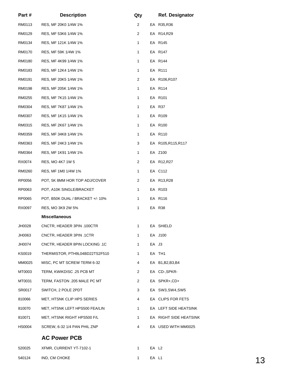| Part#  | <b>Description</b>              | Qty            |       | <b>Ref. Designator</b> |    |
|--------|---------------------------------|----------------|-------|------------------------|----|
| RM0113 | RES, MF 20K0 1/4W 1%            | $\overline{2}$ |       | EA R35,R36             |    |
| RM0129 | RES, MF 53K6 1/4W 1%            | 2              |       | EA R14,R29             |    |
| RM0134 | RES, MF 121K 1/4W 1%            | 1              |       | EA R145                |    |
| RM0170 | RES, MF 59K 1/4W 1%             | 1              |       | EA R147                |    |
| RM0180 | RES, MF 4K99 1/4W 1%            | 1              |       | EA R144                |    |
| RM0183 | RES, MF 12K4 1/4W 1%            | 1              |       | EA R111                |    |
| RM0191 | RES, MF 20K5 1/4W 1%            | 2              |       | EA R106,R107           |    |
| RM0198 | RES, MF 205K 1/4W 1%            | 1              |       | EA R114                |    |
| RM0255 | RES, MF 7K15 1/4W 1%            | $\mathbf{1}$   |       | EA R101                |    |
| RM0304 | RES, MF 7K87 1/4W 1%            | 1              |       | EA R37                 |    |
| RM0307 | RES, MF 1K15 1/4W 1%            | 1              |       | EA R109                |    |
| RM0315 | RES, MF 2K67 1/4W 1%            | 1              |       | EA R100                |    |
| RM0359 | RES, MF 34K8 1/4W 1%            | 1              |       | EA R110                |    |
| RM0363 | RES, MF 24K3 1/4W 1%            | 3              |       | EA R105, R115, R117    |    |
| RM0364 | RES, MF 1K91 1/4W 1%            | 1              |       | EA Z100                |    |
| RX0074 | RES, MO 4K7 1W 5                | $\overline{2}$ |       | EA R12, R27            |    |
| RM0260 | RES, MF 1M0 1/4W 1%             | $\mathbf{1}$   |       | EA C112                |    |
| RP0056 | POT, 5K 8MM HOR TOP ADJ/COVER   | $\overline{2}$ |       | EA R13,R28             |    |
| RP0063 | POT, A10K SINGLE/BRACKET        | $\mathbf{1}$   |       | EA R103                |    |
| RP0065 | POT, B50K DUAL / BRACKET +/-10% | $\mathbf{1}$   |       | EA R116                |    |
| RX0097 | RES, MO 3K9 2W 5%               | 1              |       | EA R38                 |    |
|        | <b>Miscellaneous</b>            |                |       |                        |    |
| JH0028 | CNCTR, HEADER 3PIN .100CTR      | $\mathbf{1}$   |       | EA SHIELD              |    |
| JH0063 | CNCTR, HEADER 3PIN .1CTR        | 1              |       | EA J100                |    |
| JH0074 | CNCTR, HEADER 8PIN LOCKING .1C  | 1              | EA J3 |                        |    |
| KS0019 | THERMISTOR, PTH9L04BD22TS2F510  | 1              |       | EA TH1                 |    |
| MM0025 | MISC, PC MT SCREW TERM 6-32     | 4              |       | EA B1, B2, B3, B4      |    |
| MT0003 | TERM, KWIKDISC .25 PCB MT       | $\overline{2}$ |       | EA CD-, SPKR-          |    |
| MT0031 | TERM, FASTON .205 MALE PC MT    | $\overline{2}$ |       | EA SPKR+,CD+           |    |
| SR0017 | SWITCH, 2 POLE 2PDT             | 3              |       | EA SW3, SW4, SW5       |    |
| 810066 | MET, HTSNK CLIP HPS SERIES      | 4              |       | EA CLIPS FOR FETS      |    |
| 810070 | MET, HTSNK LEFT HPS500 FEA/LIN  | 1              |       | EA LEFT SIDE HEATSINK  |    |
| 810071 | MET, HTSNK RIGHT HPS500 F/L     | 1              |       | EA RIGHT SIDE HEATSINK |    |
| HS0004 | SCREW, 6-32 1/4 PAN PHIL ZNP    | 4              |       | EA USED WITH MM0025    |    |
|        | <b>AC Power PCB</b>             |                |       |                        |    |
| 520025 | XFMR, CURRENT YT-7102-1         | 1              | EA L2 |                        |    |
| 540124 | IND, CM CHOKE                   | 1              | EA L1 |                        | 13 |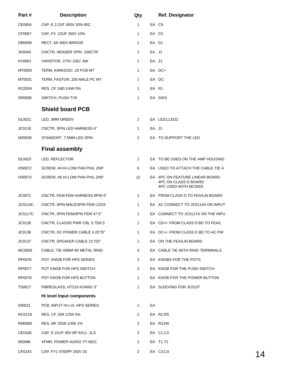| Part#          | <b>Description</b>             | Qty            |       | <b>Ref. Designator</b>                                                         |    |
|----------------|--------------------------------|----------------|-------|--------------------------------------------------------------------------------|----|
| CE0004         | CAP, E 2.2UF 450V 20% 85C      | 1              |       | EA C9                                                                          |    |
| CF0057         | CAP, FX .22UF 250V 10%         | 1              |       | EA C5                                                                          |    |
| DB0009         | RECT, 6A 400V BRIDGE           | 1              |       | EA D1                                                                          |    |
| JH0044         | CNCTR, HEADER 3PIN .156CTR     | 1              | EA J1 |                                                                                |    |
| KV0001         | VARISTOR, 275V 100J .6W        | 1              | EA Z1 |                                                                                |    |
| MT0003         | TERM, KWIKDISC .25 PCB MT      | 1              |       | EA DC+                                                                         |    |
| MT0031         | TERM, FASTON .205 MALE PC MT   | 1              |       | EA DC-                                                                         |    |
| RC0004         | RES, CF 1M0 1/4W 5%            | 1              |       | EA R1                                                                          |    |
| SR0009         | SWITCH, PUSH TV5               | 1              |       | EA SW3                                                                         |    |
|                | <b>Shield board PCB</b>        |                |       |                                                                                |    |
| DL0021         | LED, 3MM GREEN                 | 2              |       | EA LED1, LED2                                                                  |    |
| JC0118         | CNCTR, 3PIN LED HARNESS 4"     | $\mathbf{1}$   | EA J1 |                                                                                |    |
| MZ0026         | STANDOFF, 7.5MM LED 2PIN       | $\overline{2}$ |       | EA TO SUPPORT THE LED                                                          |    |
|                | <b>Final assembly</b>          |                |       |                                                                                |    |
| DL0023         | LED, REFLECTOR                 | 1              |       | EA TO BE USED ON THE AMP HOUSING                                               |    |
| HS0072         | SCREW, #4 HI-LOW PAN PHIL ZNP  | 6              |       | EA USED TO ATTACH THE CABLE TIE A                                              |    |
| <b>HS0073</b>  | SCREW, #6 HI-LOW PAN PHIL ZNP  | 12             |       | EA 4PC ON FEATURE LINEAR BOARD<br>4PC ON CLASS D BOARD<br>4PC USED WITH MC0003 |    |
| JC0071         | CNCTR, FEM-FEM HARNESS 8PIN 9" | 1              |       | EA FROM CLASS D TO FEA/LIN BOARD                                               |    |
| JC0114C        | CNCTR, 3PIN MALE/3PIN FEM LOCK | 1              |       | EA AC CONNECT TO JC0114A ON INPUT                                              |    |
| <b>JC0117C</b> | CNCTR, 3PIN FEM/3PIN FEM 47.5" | 1              |       | EA CONNECT TO JC0117A ON THE INPU                                              |    |
| JC0135         | CNCTR, CLASSD PWR CBL 5.75/6.5 | 1              |       | EA CD+/- FROM CLASS D BD TO FEA/L                                              |    |
| JC0136         | CNCTR, DC POWER CABLE 4.25"/5" | $\mathbf{1}$   |       | EA DC+/- FROM CLASS D BD TO AC PW                                              |    |
| JC0137         | CNCTR, SPEAKER CABLE 21"/23"   | 1              |       | EA ON THE FEA/LIN BOARD                                                        |    |
| MC0003         | CABLE, TIE 40MM W/ METAL RING  | 4              |       | EA CABLE TIE WITH RING TERMINALS                                               |    |
| RP0076         | POT, KNOB FOR HPS SERIES       | 2              |       | EA KNOBS FOR THE POTS                                                          |    |
| RP0077         | POT KNOB FOR HPS SWITCH        | 3              |       | EA KNOB FOR THE PUSH SWITCH                                                    |    |
| RP0078         | POT KNOB FOR HPS BUTTON        | 1              |       | EA KNOB FOR THE POWER BUTTON                                                   |    |
| <b>TS0017</b>  | FIBREGLASS, HT210 #2AWG 3"     | 1              |       | EA SLEEVING FOR JC0137                                                         |    |
|                | Hi level Input components      |                |       |                                                                                |    |
| 630021         | PCB, INPUT HI-LVL HPS SERIES   | 1              | EA    |                                                                                |    |
| RC0118         | RES, CF 15R 1/2W 5%            | 2              |       | EA R2,R5                                                                       |    |
| RM0085         | RES, MF 2K00 1/4W 1%           | 2              |       | EA R3, R6                                                                      |    |
| CE0106         | CAP, E 22UF 35V BP 6X11 .2LS   | 2              |       | EA C1,C2                                                                       |    |
| 500086         | XFMR, POWER AUDIO YT-6821      | 2              |       | EA T1,T2                                                                       |    |
| CF0143         | CAP, FY1 4700PF 250V 20        | $\overline{2}$ |       | EA C3,C4                                                                       | 14 |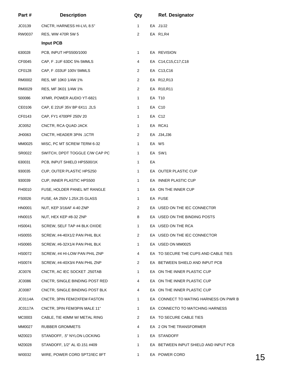| Part#          | <b>Description</b>             | Qty            |    | Ref. Designator                       |    |
|----------------|--------------------------------|----------------|----|---------------------------------------|----|
| JC0139         | CNCTR, HARNESS HI-LVL 8.5"     | 1              |    | EA J1/J2                              |    |
| RW0037         | RES, WW 470R 5W 5              | 2              |    | EA R1, R4                             |    |
|                | <b>Input PCB</b>               |                |    |                                       |    |
| 630028         | PCB, INPUT HPS500/1000         | 1              |    | EA REVISION                           |    |
| CF0045         | CAP, F.1UF 63DC 5% 5MMLS       | 4              |    | EA C14, C15, C17, C18                 |    |
| CF0128         | CAP, F.033UF 100V 5MMLS        | $\overline{2}$ |    | EA C13, C16                           |    |
| RM0002         | RES, MF 10K0 1/4W 1%           | $\overline{2}$ |    | EA R12, R13                           |    |
| RM0029         | RES, MF 3K01 1/4W 1%           | $\overline{2}$ |    | EA R10, R11                           |    |
| 500086         | XFMR, POWER AUDIO YT-6821      | $\mathbf{1}$   |    | EA T10                                |    |
| CE0106         | CAP, E 22UF 35V BP 6X11 .2LS   | 1              |    | EA C10                                |    |
| CF0143         | CAP, FY1 4700PF 250V 20        | $\mathbf{1}$   |    | EA C12                                |    |
| JC0052         | CNCTR, RCA QUAD JACK           | $\mathbf{1}$   |    | EA RCA1                               |    |
| JH0063         | CNCTR, HEADER 3PIN .1CTR       | $\overline{2}$ |    | EA J34, J36                           |    |
| MM0025         | MISC, PC MT SCREW TERM 6-32    | $\mathbf{1}$   |    | EA W5                                 |    |
| SR0022         | SWITCH, DPDT TOGGLE C/W CAP PC | 1              |    | EA SW1                                |    |
| 630031         | PCB, INPUT SHIELD HPS500/1K    | 1              | EA |                                       |    |
| 930035         | CUP, OUTER PLASTIC HPS250      | $\mathbf{1}$   |    | EA OUTER PLASTIC CUP                  |    |
| 930039         | CUP, INNER PLASTIC HPS500      | 1              |    | EA INNER PLASTIC CUP                  |    |
| FH0010         | FUSE, HOLDER PANEL MT RANGLE   | 1              |    | EA ON THE INNER CUP                   |    |
| FS0026         | FUSE, 4A 250V 1.25X.25 GLASS   | 1              |    | EA FUSE                               |    |
| <b>HN0001</b>  | NUT, KEP 3/16AF 4-40 ZNP       | $\overline{2}$ |    | EA USED ON THE IEC CONNECTOR          |    |
| HN0015         | NUT, HEX KEP #8-32 ZNP         | 8              |    | EA USED ON THE BINDING POSTS          |    |
| HS0041         | SCREW, SELF TAP #4 BLK OXIDE   | 1              |    | EA USED ON THE RCA                    |    |
| HS0055         | SCREW, #4-40X1/2 PAN PHIL BLK  | 2              |    | EA USED ON THE IEC CONNECTOR          |    |
| HS0065         | SCREW, #6-32X1/4 PAN PHIL BLK  | 1              |    | EA USED ON MM0025                     |    |
| HS0072         | SCREW, #4 HI-LOW PAN PHIL ZNP  | 4              |    | EA TO SECURE THE CUPS AND CABLE TIES  |    |
| <b>HS0074</b>  | SCREW, #4-40X3/4 PAN PHIL ZNP  | 2              |    | EA BETWEEN SHIELD AND INPUT PCB       |    |
| JC0076         | CNCTR, AC IEC SOCKET .250TAB   | 1              |    | EA ON THE INNER PLASTIC CUP           |    |
| <b>JC0086</b>  | CNCTR, SINGLE BINDING POST RED | 4              |    | EA ON THE INNER PLASTIC CUP           |    |
| JC0087         | CNCTR, SINGLE BINDING POST BLK | 4              |    | EA ON THE INNER PLASTIC CUP           |    |
| <b>JC0114A</b> | CNCTR, 3PIN FEM/2XFEM FASTON   | 1              |    | EA CONNECT TO MATING HARNESS ON PWR B |    |
| JC0117A        | CNCTR, 3PIN FEM/3PIN MALE 11"  | 1              |    | EA CONNECTO TO MATCHING HARNESS       |    |
| MC0003         | CABLE, TIE 40MM W/ METAL RING  | $\overline{2}$ |    | EA TO SECURE CABLE TIES               |    |
| MM0027         | RUBBER GROMMETS                | 4              |    | EA 2 ON THE TRANSFORMER               |    |
| MZ0023         | STANDOFF, .5" NYLON LOCKING    | 1              |    | EA STANDOFF                           |    |
| MZ0028         | STANDOFF, 1/2" AL ID.151 #409  | 1              |    | EA BETWEEN INPUT SHIELD AND INPUT PCB |    |
| WI0032         | WIRE, POWER CORD SPT2/IEC 8FT  | 1              |    | EA POWER CORD                         | 15 |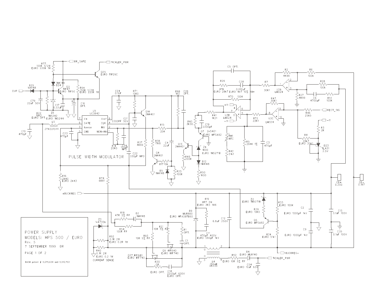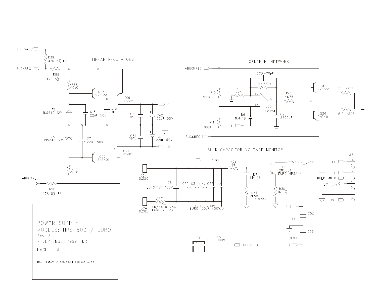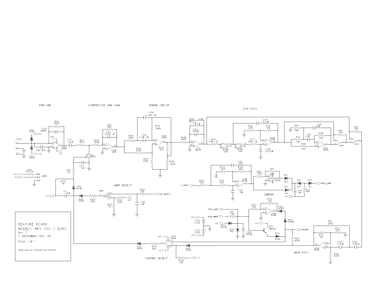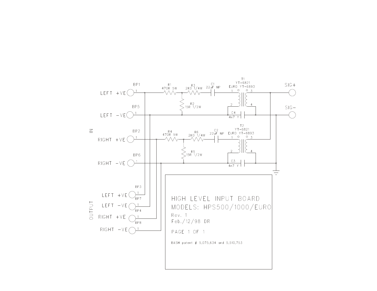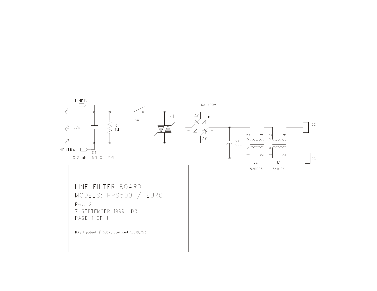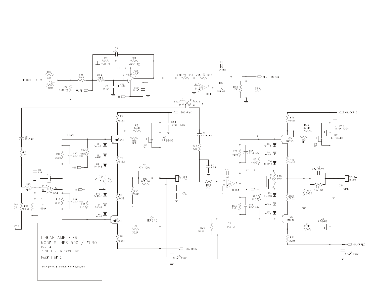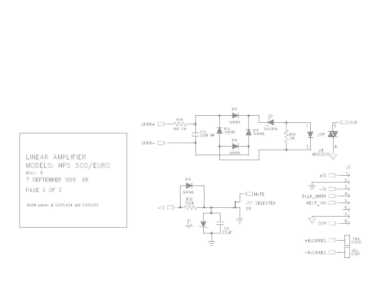